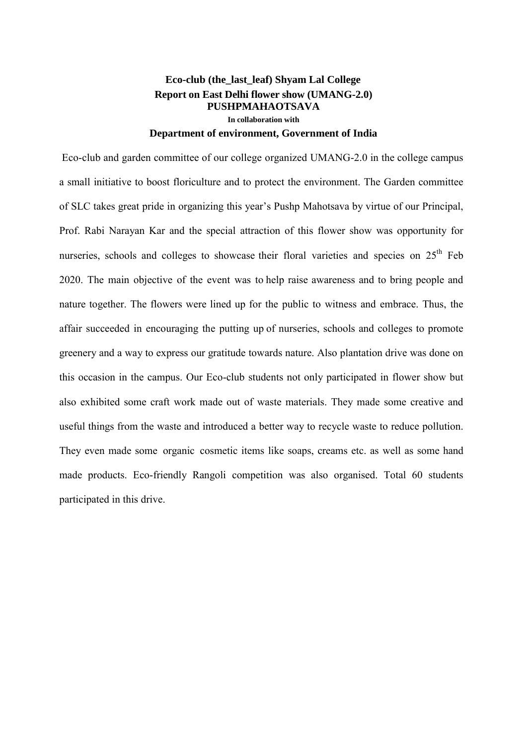## **Eco-club (the\_last\_leaf) Shyam Lal College Report on East Delhi flower show (UMANG-2.0) PUSHPMAHAOTSAVA In collaboration with Department of environment, Government of India**

Eco-club and garden committee of our college organized UMANG-2.0 in the college campus a small initiative to boost floriculture and to protect the environment. The Garden committee of SLC takes great pride in organizing this year's Pushp Mahotsava by virtue of our Principal, Prof. Rabi Narayan Kar and the special attraction of this flower show was opportunity for nurseries, schools and colleges to showcase their floral varieties and species on  $25<sup>th</sup>$  Feb 2020. The main objective of the event was to help raise awareness and to bring people and nature together. The flowers were lined up for the public to witness and embrace. Thus, the affair succeeded in encouraging the putting up of nurseries, schools and colleges to promote greenery and a way to express our gratitude towards nature. Also plantation drive was done on this occasion in the campus. Our Eco-club students not only participated in flower show but also exhibited some craft work made out of waste materials. They made some creative and useful things from the waste and introduced a better way to recycle waste to reduce pollution. They even made some organic cosmetic items like soaps, creams etc. as well as some hand made products. Eco-friendly Rangoli competition was also organised. Total 60 students participated in this drive.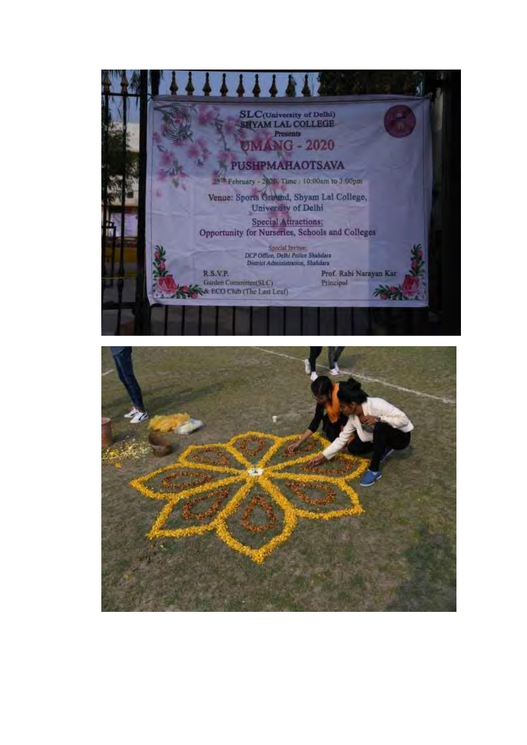

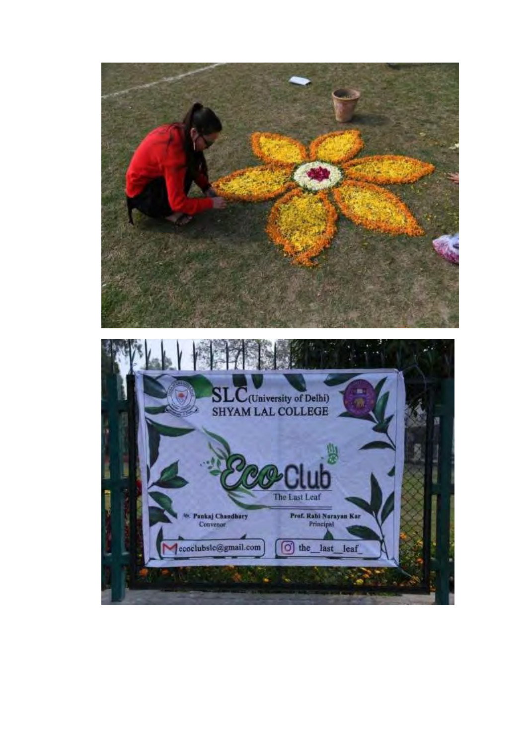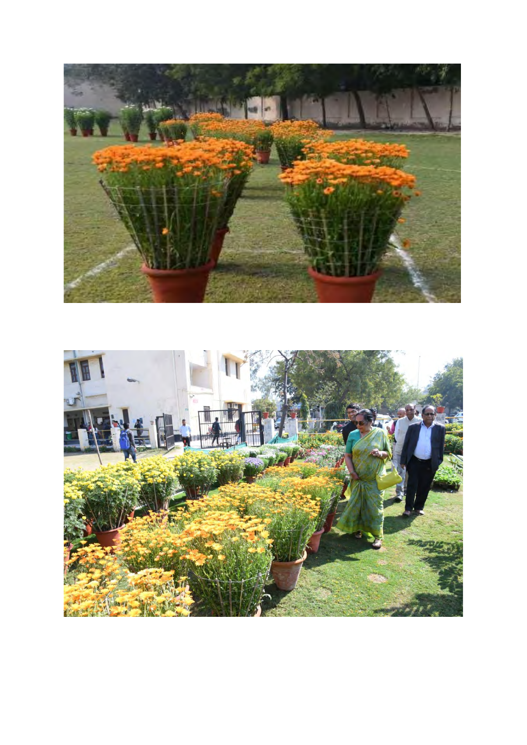

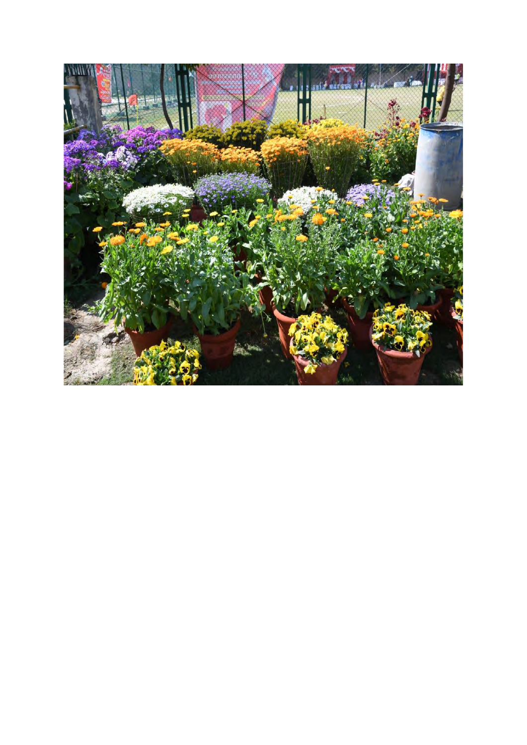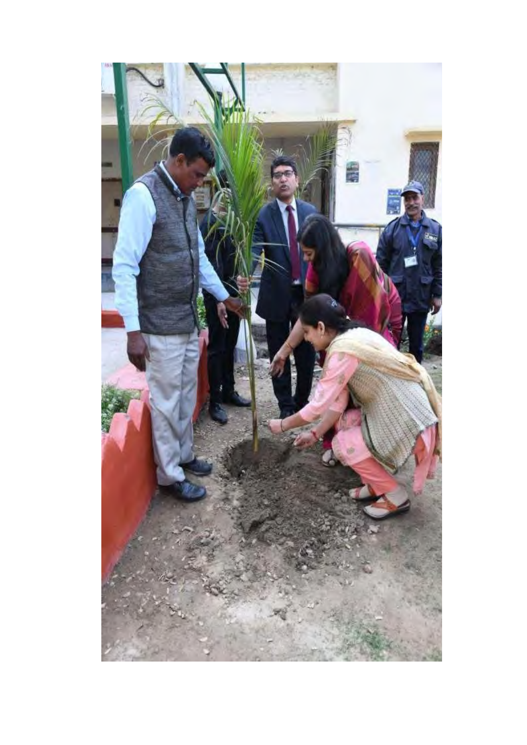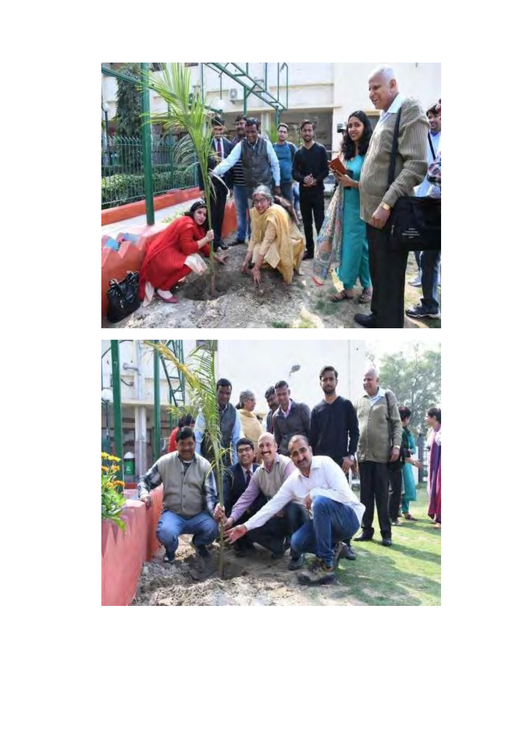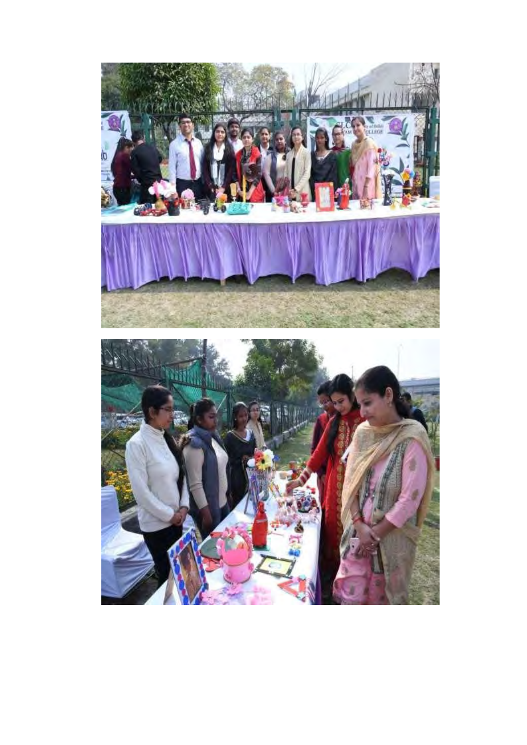